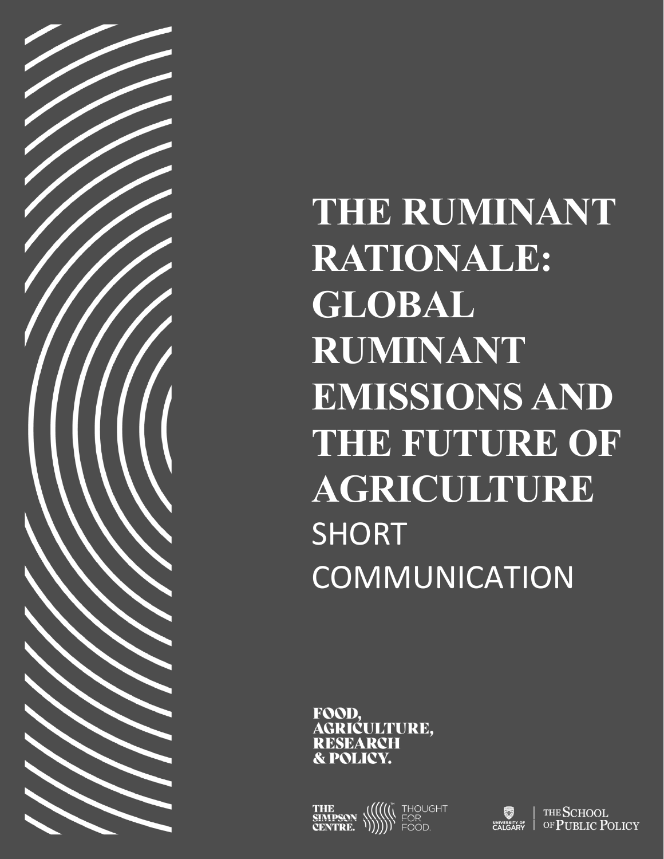

**THE RUMINANT RATIONALE: GLOBAL RUMINANT EMISSIONS AND THE FUTURE OF AGRICULTURE**  SHORT COMMUNICATION

FOOD, GRIĆULTURE. RESEARCH

IOUGHT<br>JR

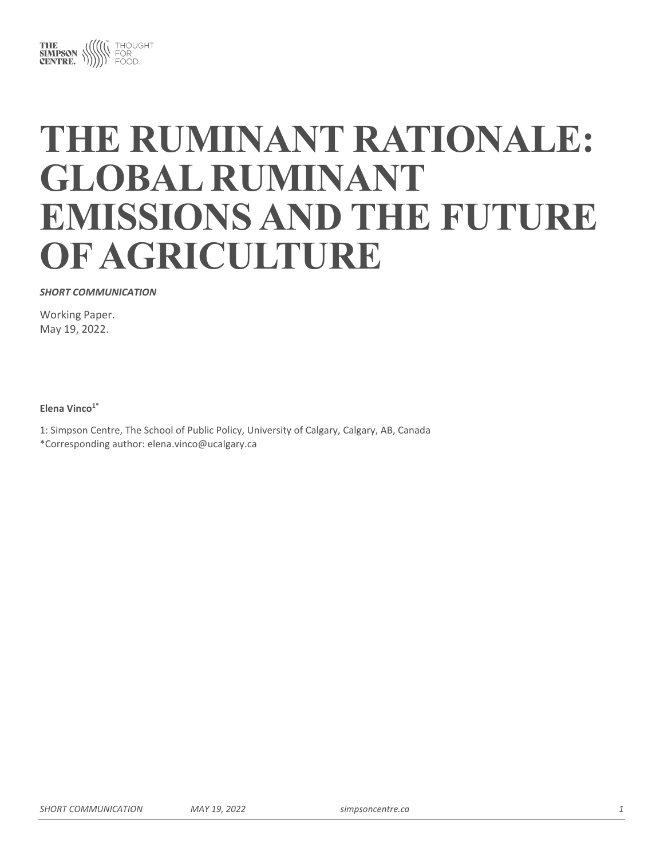

# **THE RUMINANT RATIONALE: GLOBAL RUMINANT EMISSIONS AND THE FUTURE OF AGRICULTURE**

#### *SHORT COMMUNICATION*

Working Paper. May 19, 2022.

**Elena Vinco1\***

1: Simpson Centre, The School of Public Policy, University of Calgary, Calgary, AB, Canada

\*Corresponding author: elena.vinco@ucalgary.ca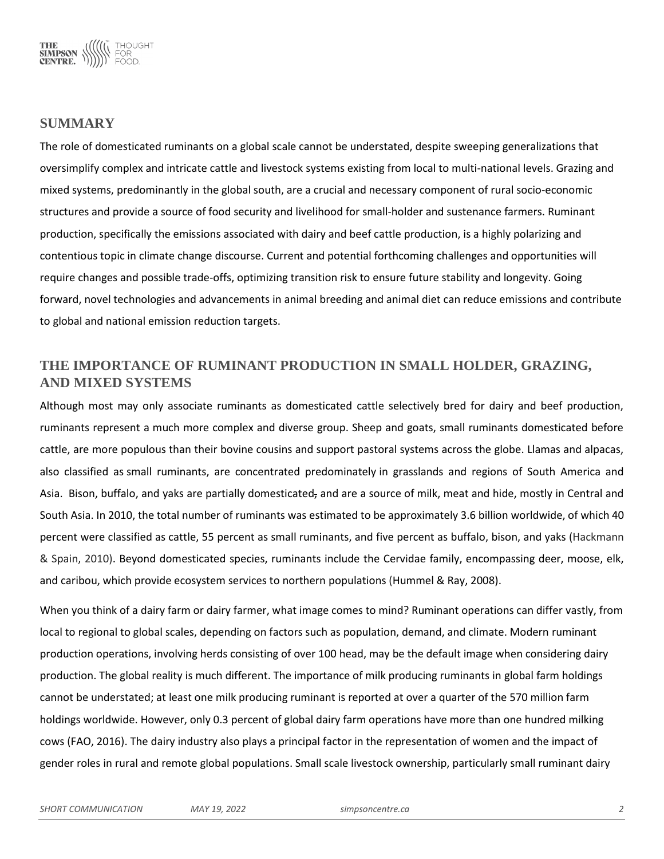

# **SUMMARY**

The role of domesticated ruminants on a global scale cannot be understated, despite sweeping generalizations that oversimplify complex and intricate cattle and livestock systems existing from local to multi-national levels. Grazing and mixed systems, predominantly in the global south, are a crucial and necessary component of rural socio-economic structures and provide a source of food security and livelihood for small-holder and sustenance farmers. Ruminant production, specifically the emissions associated with dairy and beef cattle production, is a highly polarizing and contentious topic in climate change discourse. Current and potential forthcoming challenges and opportunities will require changes and possible trade-offs, optimizing transition risk to ensure future stability and longevity. Going forward, novel technologies and advancements in animal breeding and animal diet can reduce emissions and contribute to global and national emission reduction targets.

# **THE IMPORTANCE OF RUMINANT PRODUCTION IN SMALL HOLDER, GRAZING, AND MIXED SYSTEMS**

Although most may only associate ruminants as domesticated cattle selectively bred for dairy and beef production, ruminants represent a much more complex and diverse group. Sheep and goats, small ruminants domesticated before cattle, are more populous than their bovine cousins and support pastoral systems across the globe. Llamas and alpacas, also classified as small ruminants, are concentrated predominately in grasslands and regions of South America and Asia. Bison, buffalo, and yaks are partially domesticated, and are a source of milk, meat and hide, mostly in Central and South Asia. In 2010, the total number of ruminants was estimated to be approximately 3.6 billion worldwide, of which 40 percent were classified as cattle, 55 percent as small ruminants, and five percent as buffalo, bison, and yaks (Hackmann & Spain, 2010). Beyond domesticated species, ruminants include the Cervidae family, encompassing deer, moose, elk, and caribou, which provide ecosystem services to northern populations (Hummel & Ray, 2008).

When you think of a dairy farm or dairy farmer, what image comes to mind? Ruminant operations can differ vastly, from local to regional to global scales, depending on factors such as population, demand, and climate. Modern ruminant production operations, involving herds consisting of over 100 head, may be the default image when considering dairy production. The global reality is much different. The importance of milk producing ruminants in global farm holdings cannot be understated; at least one milk producing ruminant is reported at over a quarter of the 570 million farm holdings worldwide. However, only 0.3 percent of global dairy farm operations have more than one hundred milking cows (FAO, 2016). The dairy industry also plays a principal factor in the representation of women and the impact of gender roles in rural and remote global populations. Small scale livestock ownership, particularly small ruminant dairy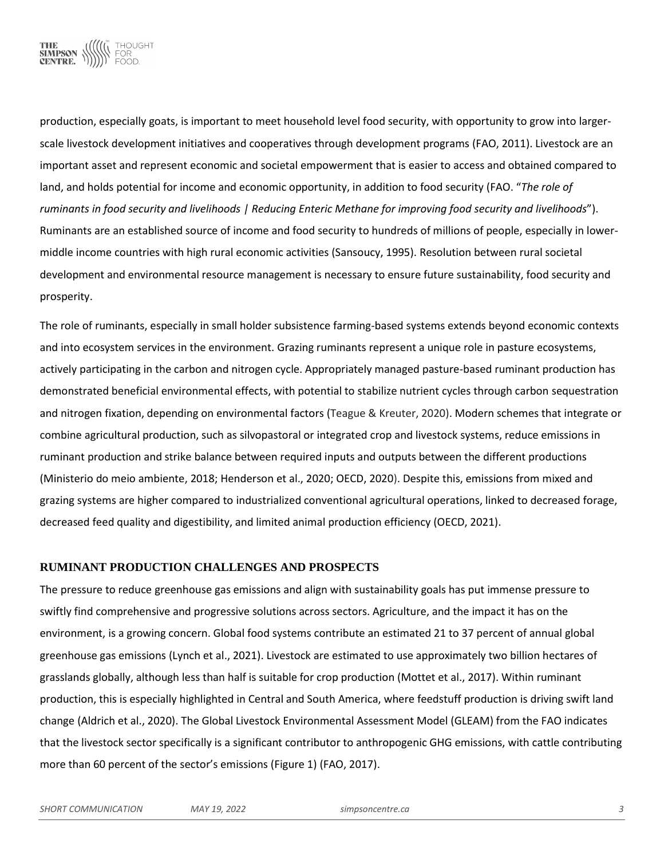

production, especially goats, is important to meet household level food security, with opportunity to grow into largerscale livestock development initiatives and cooperatives through development programs (FAO, 2011). Livestock are an important asset and represent economic and societal empowerment that is easier to access and obtained compared to land, and holds potential for income and economic opportunity, in addition to food security (FAO. "*The role of ruminants in food security and livelihoods | Reducing Enteric Methane for improving food security and livelihoods*"). Ruminants are an established source of income and food security to hundreds of millions of people, especially in lowermiddle income countries with high rural economic activities (Sansoucy, 1995). Resolution between rural societal development and environmental resource management is necessary to ensure future sustainability, food security and prosperity.

The role of ruminants, especially in small holder subsistence farming-based systems extends beyond economic contexts and into ecosystem services in the environment. Grazing ruminants represent a unique role in pasture ecosystems, actively participating in the carbon and nitrogen cycle. Appropriately managed pasture-based ruminant production has demonstrated beneficial environmental effects, with potential to stabilize nutrient cycles through carbon sequestration and nitrogen fixation, depending on environmental factors (Teague & Kreuter, 2020). Modern schemes that integrate or combine agricultural production, such as silvopastoral or integrated crop and livestock systems, reduce emissions in ruminant production and strike balance between required inputs and outputs between the different productions (Ministerio do meio ambiente, 2018; Henderson et al., 2020; OECD, 2020). Despite this, emissions from mixed and grazing systems are higher compared to industrialized conventional agricultural operations, linked to decreased forage, decreased feed quality and digestibility, and limited animal production efficiency (OECD, 2021).

### **RUMINANT PRODUCTION CHALLENGES AND PROSPECTS**

The pressure to reduce greenhouse gas emissions and align with sustainability goals has put immense pressure to swiftly find comprehensive and progressive solutions across sectors. Agriculture, and the impact it has on the environment, is a growing concern. Global food systems contribute an estimated 21 to 37 percent of annual global greenhouse gas emissions (Lynch et al., 2021). Livestock are estimated to use approximately two billion hectares of grasslands globally, although less than half is suitable for crop production (Mottet et al., 2017). Within ruminant production, this is especially highlighted in Central and South America, where feedstuff production is driving swift land change (Aldrich et al., 2020). The Global Livestock Environmental Assessment Model (GLEAM) from the FAO indicates that the livestock sector specifically is a significant contributor to anthropogenic GHG emissions, with cattle contributing more than 60 percent of the sector's emissions (Figure 1) (FAO, 2017).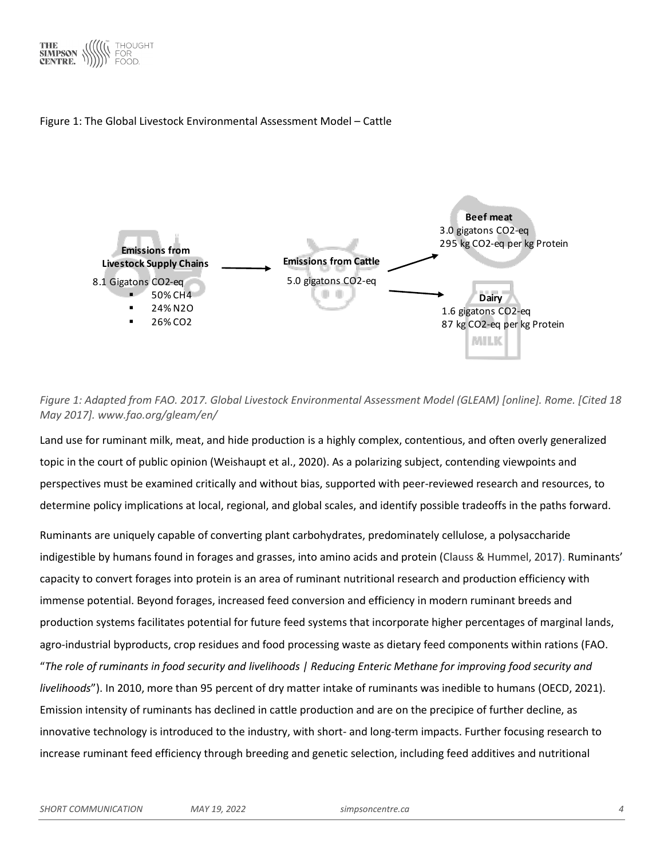





*Figure 1: Adapted from FAO. 2017. Global Livestock Environmental Assessment Model (GLEAM) [online]. Rome. [Cited 18 May 2017]. www.fao.org/gleam/en/*

Land use for ruminant milk, meat, and hide production is a highly complex, contentious, and often overly generalized topic in the court of public opinion (Weishaupt et al., 2020). As a polarizing subject, contending viewpoints and perspectives must be examined critically and without bias, supported with peer-reviewed research and resources, to determine policy implications at local, regional, and global scales, and identify possible tradeoffs in the paths forward.

Ruminants are uniquely capable of converting plant carbohydrates, predominately cellulose, a polysaccharide indigestible by humans found in forages and grasses, into amino acids and protein (Clauss & Hummel, 2017). Ruminants' capacity to convert forages into protein is an area of ruminant nutritional research and production efficiency with immense potential. Beyond forages, increased feed conversion and efficiency in modern ruminant breeds and production systems facilitates potential for future feed systems that incorporate higher percentages of marginal lands, agro-industrial byproducts, crop residues and food processing waste as dietary feed components within rations (FAO. "*The role of ruminants in food security and livelihoods | Reducing Enteric Methane for improving food security and livelihoods*"). In 2010, more than 95 percent of dry matter intake of ruminants was inedible to humans (OECD, 2021). Emission intensity of ruminants has declined in cattle production and are on the precipice of further decline, as innovative technology is introduced to the industry, with short- and long-term impacts. Further focusing research to increase ruminant feed efficiency through breeding and genetic selection, including feed additives and nutritional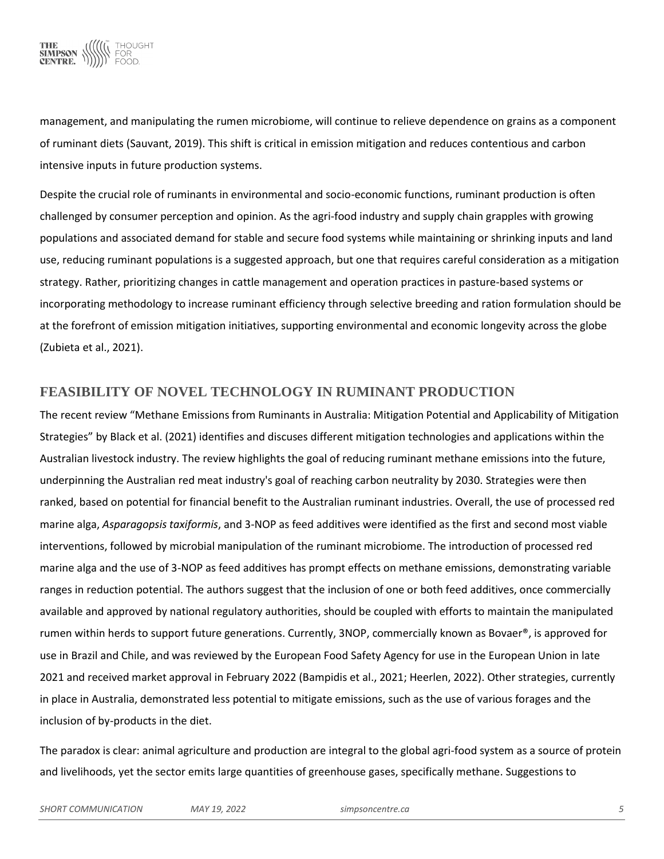

management, and manipulating the rumen microbiome, will continue to relieve dependence on grains as a component of ruminant diets (Sauvant, 2019). This shift is critical in emission mitigation and reduces contentious and carbon intensive inputs in future production systems.

Despite the crucial role of ruminants in environmental and socio-economic functions, ruminant production is often challenged by consumer perception and opinion. As the agri-food industry and supply chain grapples with growing populations and associated demand for stable and secure food systems while maintaining or shrinking inputs and land use, reducing ruminant populations is a suggested approach, but one that requires careful consideration as a mitigation strategy. Rather, prioritizing changes in cattle management and operation practices in pasture-based systems or incorporating methodology to increase ruminant efficiency through selective breeding and ration formulation should be at the forefront of emission mitigation initiatives, supporting environmental and economic longevity across the globe (Zubieta et al., 2021).

## **FEASIBILITY OF NOVEL TECHNOLOGY IN RUMINANT PRODUCTION**

The recent review "Methane Emissions from Ruminants in Australia: Mitigation Potential and Applicability of Mitigation Strategies" by Black et al. (2021) identifies and discuses different mitigation technologies and applications within the Australian livestock industry. The review highlights the goal of reducing ruminant methane emissions into the future, underpinning the Australian red meat industry's goal of reaching carbon neutrality by 2030. Strategies were then ranked, based on potential for financial benefit to the Australian ruminant industries. Overall, the use of processed red marine alga, *Asparagopsis taxiformis*, and 3-NOP as feed additives were identified as the first and second most viable interventions, followed by microbial manipulation of the ruminant microbiome. The introduction of processed red marine alga and the use of 3-NOP as feed additives has prompt effects on methane emissions, demonstrating variable ranges in reduction potential. The authors suggest that the inclusion of one or both feed additives, once commercially available and approved by national regulatory authorities, should be coupled with efforts to maintain the manipulated rumen within herds to support future generations. Currently, 3NOP, commercially known as Bovaer®, is approved for use in Brazil and Chile, and was reviewed by the European Food Safety Agency for use in the European Union in late 2021 and received market approval in February 2022 (Bampidis et al., 2021; Heerlen, 2022). Other strategies, currently in place in Australia, demonstrated less potential to mitigate emissions, such as the use of various forages and the inclusion of by-products in the diet.

The paradox is clear: animal agriculture and production are integral to the global agri-food system as a source of protein and livelihoods, yet the sector emits large quantities of greenhouse gases, specifically methane. Suggestions to

*SHORT COMMUNICATION MAY 19, 2022 simpsoncentre.ca 5*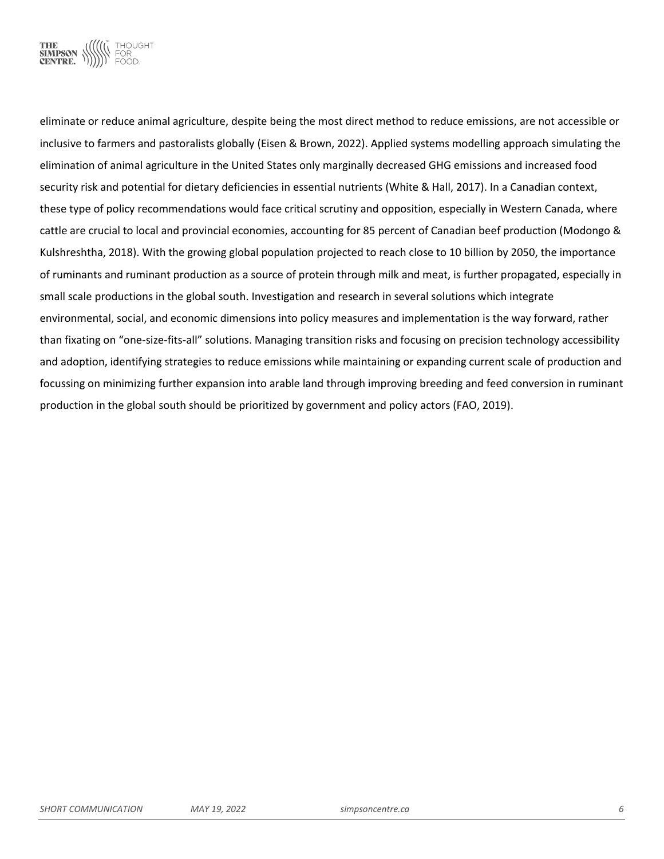

eliminate or reduce animal agriculture, despite being the most direct method to reduce emissions, are not accessible or inclusive to farmers and pastoralists globally (Eisen & Brown, 2022). Applied systems modelling approach simulating the elimination of animal agriculture in the United States only marginally decreased GHG emissions and increased food security risk and potential for dietary deficiencies in essential nutrients (White & Hall, 2017). In a Canadian context, these type of policy recommendations would face critical scrutiny and opposition, especially in Western Canada, where cattle are crucial to local and provincial economies, accounting for 85 percent of Canadian beef production (Modongo & Kulshreshtha, 2018). With the growing global population projected to reach close to 10 billion by 2050, the importance of ruminants and ruminant production as a source of protein through milk and meat, is further propagated, especially in small scale productions in the global south. Investigation and research in several solutions which integrate environmental, social, and economic dimensions into policy measures and implementation is the way forward, rather than fixating on "one-size-fits-all" solutions. Managing transition risks and focusing on precision technology accessibility and adoption, identifying strategies to reduce emissions while maintaining or expanding current scale of production and focussing on minimizing further expansion into arable land through improving breeding and feed conversion in ruminant production in the global south should be prioritized by government and policy actors (FAO, 2019).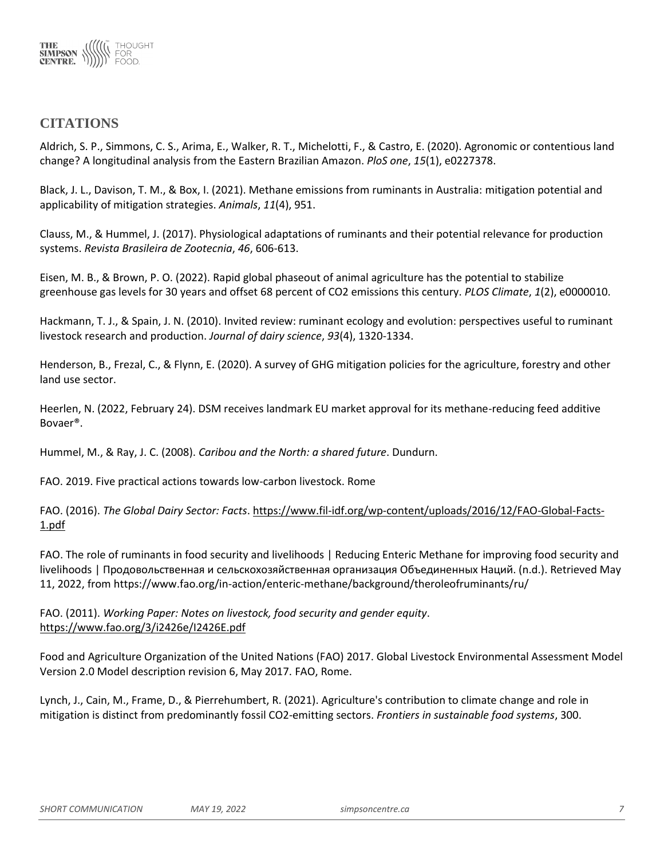

## **CITATIONS**

Aldrich, S. P., Simmons, C. S., Arima, E., Walker, R. T., Michelotti, F., & Castro, E. (2020). Agronomic or contentious land change? A longitudinal analysis from the Eastern Brazilian Amazon. *PloS one*, *15*(1), e0227378.

Black, J. L., Davison, T. M., & Box, I. (2021). Methane emissions from ruminants in Australia: mitigation potential and applicability of mitigation strategies. *Animals*, *11*(4), 951.

Clauss, M., & Hummel, J. (2017). Physiological adaptations of ruminants and their potential relevance for production systems. *Revista Brasileira de Zootecnia*, *46*, 606-613.

Eisen, M. B., & Brown, P. O. (2022). Rapid global phaseout of animal agriculture has the potential to stabilize greenhouse gas levels for 30 years and offset 68 percent of CO2 emissions this century. *PLOS Climate*, *1*(2), e0000010.

Hackmann, T. J., & Spain, J. N. (2010). Invited review: ruminant ecology and evolution: perspectives useful to ruminant livestock research and production. *Journal of dairy science*, *93*(4), 1320-1334.

Henderson, B., Frezal, C., & Flynn, E. (2020). A survey of GHG mitigation policies for the agriculture, forestry and other land use sector.

Heerlen, N. (2022, February 24). DSM receives landmark EU market approval for its methane-reducing feed additive Bovaer®.

Hummel, M., & Ray, J. C. (2008). *Caribou and the North: a shared future*. Dundurn.

FAO. 2019. Five practical actions towards low-carbon livestock. Rome

FAO. (2016). *The Global Dairy Sector: Facts*. [https://www.fil-idf.org/wp-content/uploads/2016/12/FAO-Global-Facts-](https://www.fil-idf.org/wp-content/uploads/2016/12/FAO-Global-Facts-1.pdf)[1.pdf](https://www.fil-idf.org/wp-content/uploads/2016/12/FAO-Global-Facts-1.pdf)

FAO. The role of ruminants in food security and livelihoods | Reducing Enteric Methane for improving food security and livelihoods | Продовольственная и сельскохозяйственная организация Объединенных Наций. (n.d.). Retrieved May 11, 2022, from https://www.fao.org/in-action/enteric-methane/background/theroleofruminants/ru/

FAO. (2011). *Working Paper: Notes on livestock, food security and gender equity*. <https://www.fao.org/3/i2426e/I2426E.pdf>

Food and Agriculture Organization of the United Nations (FAO) 2017. Global Livestock Environmental Assessment Model Version 2.0 Model description revision 6, May 2017. FAO, Rome.

Lynch, J., Cain, M., Frame, D., & Pierrehumbert, R. (2021). Agriculture's contribution to climate change and role in mitigation is distinct from predominantly fossil CO2-emitting sectors. *Frontiers in sustainable food systems*, 300.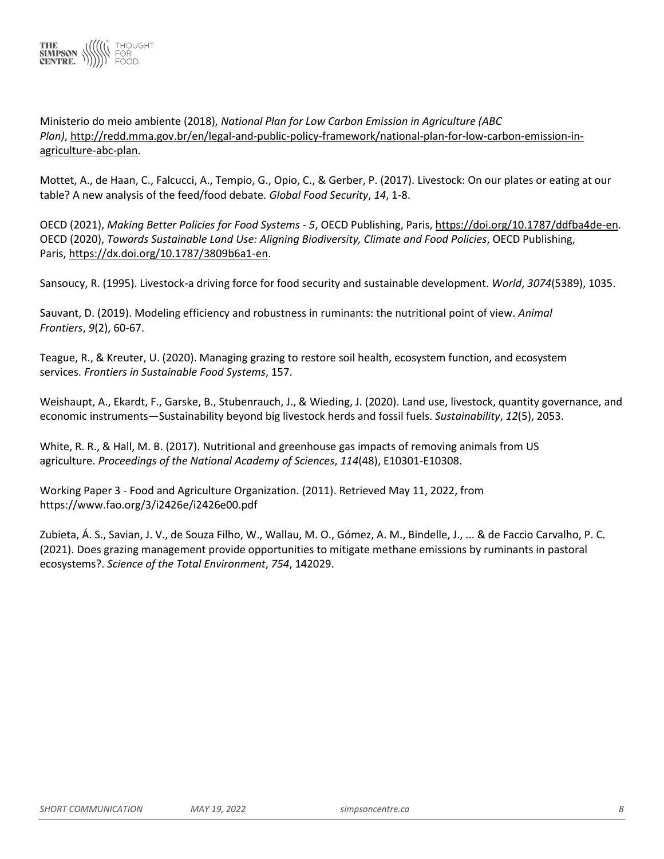

Ministerio do meio ambiente (2018), *National Plan for Low Carbon Emission in Agriculture (ABC Plan)*, [http://redd.mma.gov.br/en/legal-and-public-policy-framework/national-plan-for-low-carbon-emission-in](http://redd.mma.gov.br/en/legal-and-public-policy-framework/national-plan-for-low-carbon-emission-in-agriculture-abc-plan)[agriculture-abc-plan.](http://redd.mma.gov.br/en/legal-and-public-policy-framework/national-plan-for-low-carbon-emission-in-agriculture-abc-plan)

Mottet, A., de Haan, C., Falcucci, A., Tempio, G., Opio, C., & Gerber, P. (2017). Livestock: On our plates or eating at our table? A new analysis of the feed/food debate. *Global Food Security*, *14*, 1-8.

OECD (2021), *Making Better Policies for Food Systems - 5*, OECD Publishing, Paris, [https://doi.org/10.1787/ddfba4de-en.](https://doi.org/10.1787/ddfba4de-en) OECD (2020), *Towards Sustainable Land Use: Aligning Biodiversity, Climate and Food Policies*, OECD Publishing, Paris, [https://dx.doi.org/10.1787/3809b6a1-en.](https://dx.doi.org/10.1787/3809b6a1-en)

Sansoucy, R. (1995). Livestock-a driving force for food security and sustainable development. *World*, *3074*(5389), 1035.

Sauvant, D. (2019). Modeling efficiency and robustness in ruminants: the nutritional point of view. *Animal Frontiers*, *9*(2), 60-67.

Teague, R., & Kreuter, U. (2020). Managing grazing to restore soil health, ecosystem function, and ecosystem services. *Frontiers in Sustainable Food Systems*, 157.

Weishaupt, A., Ekardt, F., Garske, B., Stubenrauch, J., & Wieding, J. (2020). Land use, livestock, quantity governance, and economic instruments—Sustainability beyond big livestock herds and fossil fuels. *Sustainability*, *12*(5), 2053.

White, R. R., & Hall, M. B. (2017). Nutritional and greenhouse gas impacts of removing animals from US agriculture. *Proceedings of the National Academy of Sciences*, *114*(48), E10301-E10308.

Working Paper 3 - Food and Agriculture Organization. (2011). Retrieved May 11, 2022, from https://www.fao.org/3/i2426e/i2426e00.pdf

Zubieta, Á. S., Savian, J. V., de Souza Filho, W., Wallau, M. O., Gómez, A. M., Bindelle, J., ... & de Faccio Carvalho, P. C. (2021). Does grazing management provide opportunities to mitigate methane emissions by ruminants in pastoral ecosystems?. *Science of the Total Environment*, *754*, 142029.